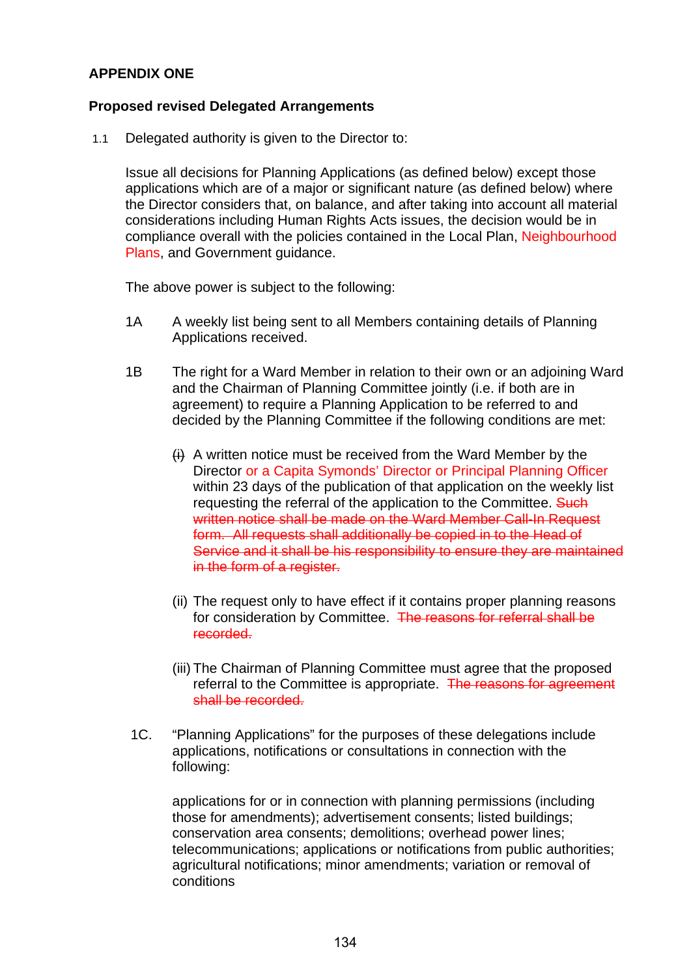## **APPENDIX ONE**

## **Proposed revised Delegated Arrangements**

1.1 Delegated authority is given to the Director to:

Issue all decisions for Planning Applications (as defined below) except those applications which are of a major or significant nature (as defined below) where the Director considers that, on balance, and after taking into account all material considerations including Human Rights Acts issues, the decision would be in compliance overall with the policies contained in the Local Plan, Neighbourhood Plans, and Government guidance.

The above power is subject to the following:

- 1A A weekly list being sent to all Members containing details of Planning Applications received.
- 1B The right for a Ward Member in relation to their own or an adjoining Ward and the Chairman of Planning Committee jointly (i.e. if both are in agreement) to require a Planning Application to be referred to and decided by the Planning Committee if the following conditions are met:
	- $H$  A written notice must be received from the Ward Member by the Director or a Capita Symonds' Director or Principal Planning Officer within 23 days of the publication of that application on the weekly list requesting the referral of the application to the Committee. Such written notice shall be made on the Ward Member Call-In Request form. All requests shall additionally be copied in to the Head of Service and it shall be his responsibility to ensure they are maintained in the form of a register.
	- (ii) The request only to have effect if it contains proper planning reasons for consideration by Committee. The reasons for referral shall be recorded.
	- (iii) The Chairman of Planning Committee must agree that the proposed referral to the Committee is appropriate. The reasons for agreement shall be recorded.
- 1C. "Planning Applications" for the purposes of these delegations include applications, notifications or consultations in connection with the following:

applications for or in connection with planning permissions (including those for amendments); advertisement consents; listed buildings; conservation area consents; demolitions; overhead power lines; telecommunications; applications or notifications from public authorities; agricultural notifications; minor amendments; variation or removal of conditions